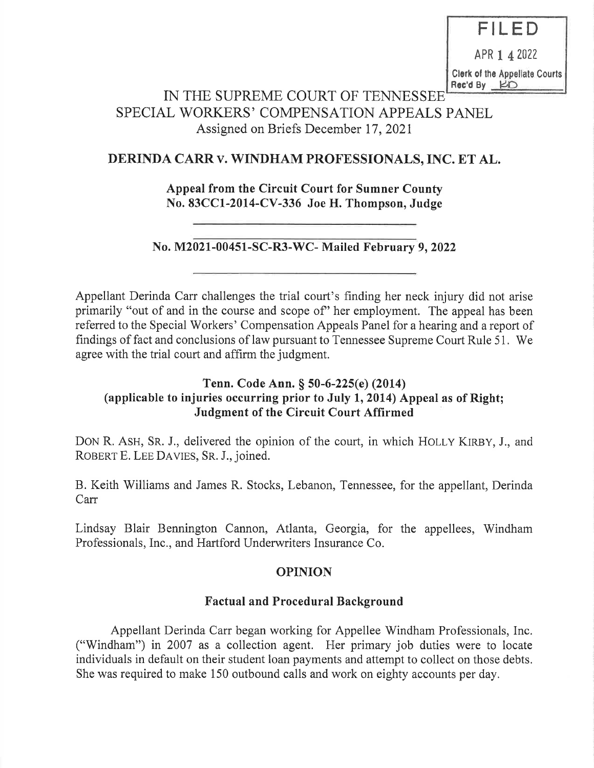FILED

APR 1 4 2022

Clerk of the Appellate Courts Rec'd By **KD** 

# IN THE SUPREME COURT OF TENNESSEE SPECIAL WORKERS' COMPENSATION APPEALS PANEL Assigned on Briefs December 17, 2021

# DERINDA CARR v. WINDHAM PROFESSIONALS, INC. ET AL.

Appeal from the Circuit Court for Sumner County No. 83CC1-2014-CV-336 Joe H. Thompson, Judge

## No. M2021-00451-SC-R3-WC- Mailed February 9, 2022

Appellant Derinda Carr challenges the trial court's finding her neck injury did not arise primarily "out of and in the course and scope of' her employment. The appeal has been referred to the Special Workers' Compensation Appeals Panel for a hearing and a report of findings of fact and conclusions of law pursuant to Tennessee Supreme Court Rule 51. We agree with the trial court and affirm the judgment.

## Tenn. Code Ann. § 50-6-225(e) (2014) (applicable to injuries occurring prior to July 1, 2014) Appeal as of Right; Judgment of the Circuit Court Affirmed

DON R. ASH, SR. J., delivered the opinion of the court, in which HOLLY KIRBY, J., and ROBERT E. LEE DAVIES, SR. J., joined.

B. Keith Williams and James R. Stocks, Lebanon, Tennessee, for the appellant, Derinda Carr

Lindsay Blair Bennington Cannon, Atlanta, Georgia, for the appellees, Windham Professionals, Inc., and Hartford Underwriters Insurance Co.

## OPINION

## Factual and Procedural Background

Appellant Derinda Carr began working for Appellee Windham Professionals, Inc. ("Windham") in 2007 as a collection agent. Her primary job duties were to locate individuals in default on their student loan payments and attempt to collect on those debts. She was required to make 150 outbound calls and work on eighty accounts per day.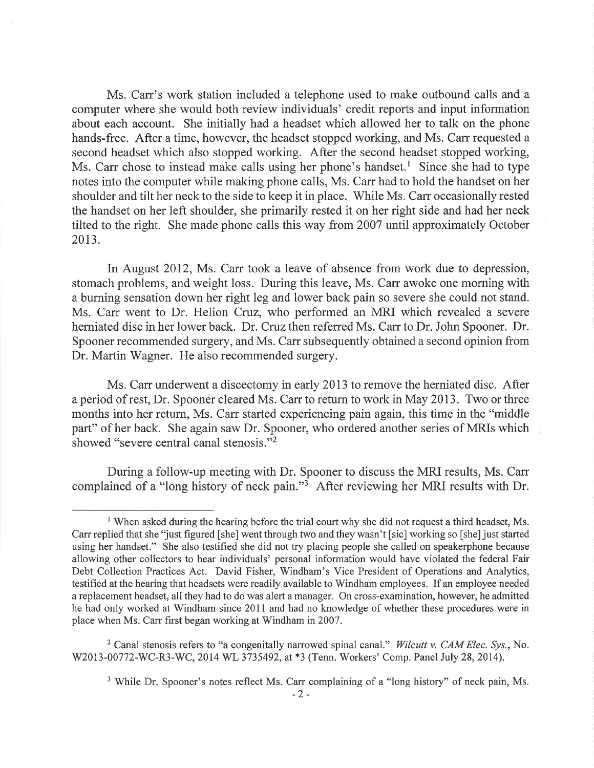Ms. Carr's work station included a telephone used to make outbound calls and a computer where she would both review individuals' credit reports and input information about each account. She initially had a headset which allowed her to talk on the phone hands-free. After a time, however, the headset stopped working, and Ms. Carr requested a second headset which also stopped working. After the second headset stopped working, Ms. Carr chose to instead make calls using her phone's handset.<sup>1</sup> Since she had to type notes into the computer while making phone calls, Ms. Carr had to hold the handset on her shoulder and tilt her neck to the side to keep it in place. While Ms. Carr occasionally rested the handset on her left shoulder, she primarily rested it on her right side and had her neck tilted to the right. She made phone calls this way from 2007 until approximately October 2013.

In August 2012, Ms. Carr took a leave of absence from work due to depression, stomach problems, and weight loss. During this leave, Ms. Carr awoke one morning with a burning sensation down her right leg and lower back pain so severe she could not stand. Ms. Carr went to Dr. Helion Cruz, who performed an MRI which revealed a severe herniated disc in her lower back. Dr. Cruz then referred Ms. Carr to Dr. John Spooner. Dr. Spooner recommended surgery, and Ms. Carr subsequently obtained a second opinion from Dr. Martin Wagner. He also recommended surgery.

Ms. Carr underwent a discectomy in early 2013 to remove the herniated disc. After a period of rest, Dr. Spooner cleared Ms. Carr to return to work in May 2013. Two or three months into her return, Ms. Carr started experiencing pain again, this time in the "middle part" of her back. She again saw Dr. Spooner, who ordered another series of MRIs which showed "severe central canal stenosis."2

During a follow-up meeting with Dr. Spooner to discuss the MRI results, Ms. Carr complained of a "long history of neck pain."3 After reviewing her MRI results with Dr.

<sup>&</sup>lt;sup>1</sup> When asked during the hearing before the trial court why she did not request a third headset, Ms. Carr replied that she 'just figured [she] went through two and they wasn't [sic] working so [she] just started using her handset." She also testified she did not try placing people she called on speakerphone because allowing other coliectors to hear individuals' personal information would have violated the federal Fair Debt Collection Practices Act. David Fisher, Windham's Vice President of Operations and Analytics, testified at the hearing that headsets were readily available to Windham employees. If an employee needed a replacement headset, all they had to do was alert a manager. On cross-examination, however, he admitted he had only worked at Windham since 2011 and had no knowledge of whether these procedures were in place when Ms. Carr first began working at Windham in 2007.

<sup>&</sup>lt;sup>2</sup> Canal stenosis refers to "a congenitally narrowed spinal canal." Wilcutt v. CAM Elec. Sys., No. W2013-00772-WC-R3-WC, 2014 WL 3735492, at \*3 (Tenn. Workers' Comp. Panel July 28, 2014).

<sup>&</sup>lt;sup>3</sup> While Dr. Spooner's notes reflect Ms. Carr complaining of a "long history" of neck pain, Ms.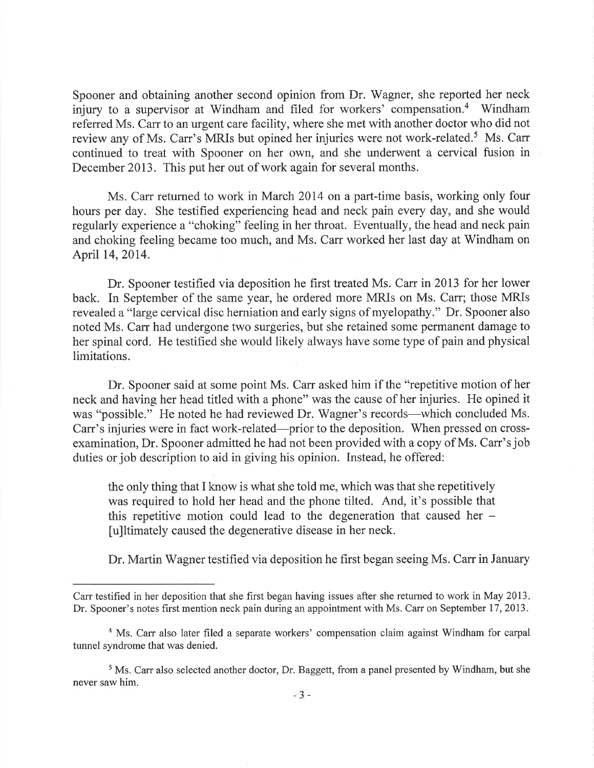Spooner and obtaining another second opinion from Dr. Wagner, she reported her neck injury to a supervisor at Windham and filed for workers' compensation.<sup>4</sup> Windham referred Ms. Carr to an urgent care facility, where she met with another doctor who did not review any of Ms. Carr's MRIs but opined her injuries were not work-related.5 Ms. Carr continued to treat with Spooner on her own, and she underwent a cervical fusion in December 2013. This put her out of work again for several months.

Ms. Carr returned to work in March 2014 on a part-time basis, working only four hours per day. She testified experiencing head and neck pain every day, and she would regularly experience a "choking" feeling in her throat. Eventually, the head and neck pain and choking feeling became too much, and Ms. Carr worked her last day at Windham on April 14, 2014.

Dr. Spooner testified via deposition he first treated Ms. Carr in 2013 for her lower back. In September of the same year, he ordered more MRIs on Ms. Carr; those MRIs revealed a "large cervical disc herniation and early signs of myelopathy." Dr. Spooner also noted Ms. Carr had undergone two surgeries, but she retained some permanent damage to her spinal cord. He testified she would likely always have some type of pain and physical limitations.

Dr. Spooner said at some point Ms. Carr asked him if the "repetitive motion of her neck and having her head titled with a phone" was the cause of her injuries. He opined it was "possible." He noted he had reviewed Dr. Wagner's records—which concluded Ms. Carr's injuries were in fact work-related—prior to the deposition. When pressed on crossexamination, Dr. Spooner admitted he had not been provided with a copy of Ms. Carr's job duties or job description to aid in giving his opinion. Instead, he offered:

the only thing that I know is what she told me, which was that she repetitively was required to hold her head and the phone tilted. And, it's possible that this repetitive motion could lead to the degeneration that caused her — [u]ltimately caused the degenerative disease in her neck.

Dr. Martin Wagner testified via deposition he first began seeing Ms. Carr in January

Carr testified in her deposition that she first began having issues after she returned to work in May 2013. Dr. Spooner's notes first mention neck pain during an appointment with Ms. Carr on September 17, 2013.

<sup>&</sup>lt;sup>4</sup> Ms. Carr also later filed a separate workers' compensation claim against Windham for carpal tunnel syndrome that was denied.

<sup>&</sup>lt;sup>5</sup> Ms. Carr also selected another doctor, Dr. Baggett, from a panel presented by Windham, but she never saw him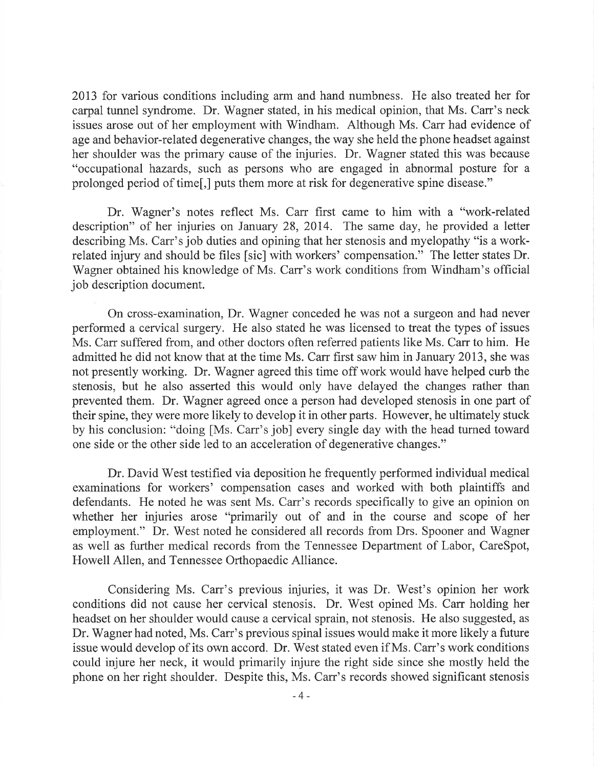2013 for various conditions including arm and hand numbness. He also treated her for carpal tunnel syndrome. Dr. Wagner stated, in his medical opinion, that Ms. Carr's neck issues arose out of her employment with Windham. Although Ms. Carr had evidence of age and behavior-related degenerative changes, the way she held the phone headset against her shoulder was the primary cause of the injuries. Dr. Wagner stated this was because "occupational hazards, such as persons who are engaged in abnormal posture for a prolonged period of time[,] puts them more at risk for degenerative spine disease."

Dr. Wagner's notes reflect Ms. Carr first came to him with a "work-related description" of her injuries on January 28, 2014. The same day, he provided a letter describing Ms. Carr's job duties and opining that her stenosis and myelopathy "is a workrelated injury and should be files [sic] with workers' compensation." The letter states Dr. Wagner obtained his knowledge of Ms. Carr's work conditions from Windham's official job description document.

On cross-examination, Dr. Wagner conceded he was not a surgeon and had never performed a cervical surgery. He also stated he was licensed to treat the types of issues Ms. Carr suffered from, and other doctors often referred patients like Ms. Carr to him. He admitted he did not know that at the time Ms. Carr first saw him in January 2013, she was not presently working. Dr. Wagner agreed this time off work would have helped curb the stenosis, but he also asserted this would only have delayed the changes rather than prevented them. Dr. Wagner agreed once a person had developed stenosis in one part of their spine, they were more likely to develop it in other parts. However, he ultimately stuck by his conclusion: "doing [Ms. Carr's job] every single day with the head turned toward one side or the other side led to an acceleration of degenerative changes."

Dr. David West testified via deposition he frequently performed individual medical examinations for workers' compensation cases and worked with both plaintiffs and defendants. He noted he was sent Ms. Carr's records specifically to give an opinion on whether her injuries arose "primarily out of and in the course and scope of her employment." Dr. West noted he considered all records from Drs. Spooner and Wagner as well as further medical records from the Tennessee Department of Labor, CareSpot, Howell Allen, and Tennessee Orthopaedic Alliance.

Considering Ms. Carr's previous injuries, it was Dr. West's opinion her work conditions did not cause her cervical stenosis. Dr. West opined Ms. Carr holding her headset on her shoulder would cause a cervical sprain, not stenosis. He also suggested, as Dr. Wagner had noted, Ms. Carr's previous spinal issues would make it more likely a future issue would develop of its own accord. Dr. West stated even if Ms. Carr's work conditions could injure her neck, it would primarily injure the right side since she mostly held the phone on her right shoulder. Despite this, Ms. Carr's records showed significant stenosis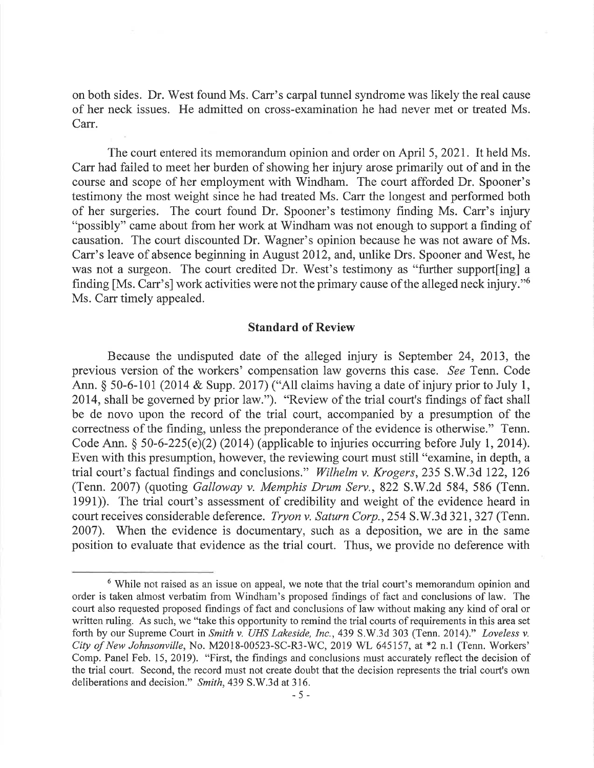on both sides. Dr. West found Ms. Carr's carpal tunnel syndrome was likely the real cause of her neck issues. He admitted on cross-examination he had never met or treated Ms. Carr.

The court entered its memorandum opinion and order on April 5, 2021. It held Ms. Carr had failed to meet her burden of showing her injury arose primarily out of and in the course and scope of her employment with Windham. The court afforded Dr. Spooner's testimony the most weight since he had treated Ms. Carr the longest and performed both of her surgeries. The court found Dr. Spooner's testimony finding Ms. Carr's injury "possibly" came about from her work at Windham was not enough to support a finding of causation. The court discounted Dr. Wagner's opinion because he was not aware of Ms. Carr's leave of absence beginning in August 2012, and, unlike Drs. Spooner and West, he was not a surgeon. The court credited Dr. West's testimony as "further support[ing] a finding [Ms. Carr's] work activities were not the primary cause of the alleged neck injury."<sup>6</sup> Ms. Carr timely appealed.

#### Standard of Review

Because the undisputed date of the alleged injury is September 24, 2013, the previous version of the workers' compensation law governs this case. See Tenn. Code Ann. § 50-6-101 (2014 & Supp. 2017) ("All claims having a date of injury prior to July 1, 2014, shall be governed by prior law."). "Review of the trial court's findings of fact shall be de novo upon the record of the trial court, accompanied by a presumption of the correctness of the finding, unless the preponderance of the evidence is otherwise." Tenn. Code Ann. § 50-6-225(e)(2) (2014) (applicable to injuries occurring before July 1, 2014). Even with this presumption, however, the reviewing court must still "examine, in depth, a trial court's factual findings and conclusions." Wilhelm v. Krogers, 235 S.W.3d 122, 126 (Tenn. 2007) (quoting Galloway v. Memphis Drum Serv., 822 S.W.2d 584, 586 (Tenn. 1991)). The trial court's assessment of credibility and weight of the evidence heard in court receives considerable deference. Tryon v. Saturn Corp., 254 S.W.3d 321, 327 (Tenn. 2007). When the evidence is documentary, such as a deposition, we are in the same position to evaluate that evidence as the trial court. Thus, we provide no deference with

<sup>&</sup>lt;sup>6</sup> While not raised as an issue on appeal, we note that the trial court's memorandum opinion and order is taken almost verbatim from Windham's proposed findings of fact and conclusions of law. The court also requested proposed findings of fact and conclusions of law without making any kind of oral or written ruling. As such, we "take this opportunity to remind the trial courts of requirements in this area set forth by our Supreme Court in Smith v. UHS Lakeside, Inc., 439 S.W.3d 303 (Tenn. 2014)." Loveless v. City of New Johnsonville, No. M2018-00523-SC-R3-WC, 2019 WL 645157, at \*2 n.1 (Tenn. Workers' Comp. Panel Feb. 15, 2019). "First, the findings and conclusions must accurately reflect the decision of the trial court. Second, the record must not create doubt that the decision represents the trial court's own deliberations and decision." Smith, 439 S.W.3d at 316.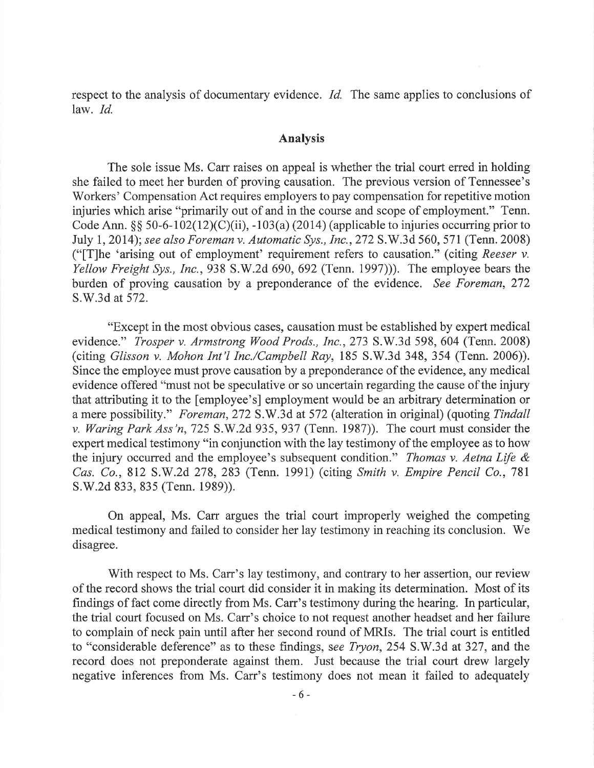respect to the analysis of documentary evidence. *Id.* The same applies to conclusions of law. Id.

#### Analysis

The sole issue Ms. Carr raises on appeal is whether the trial court erred in holding she failed to meet her burden of proving causation. The previous version of Tennessee's Workers' Compensation Act requires employers to pay compensation for repetitive motion injuries which arise "primarily out of and in the course and scope of employment." Tenn. Code Ann. §§ 50-6-102(12)(C)(ii), -103(a) (2014) (applicable to injuries occurring prior to July 1, 2014); see also Foreman v. Automatic Sys., Inc., 272 S.W.3d 560, 571 (Tenn. 2008) (" $T$ ]he 'arising out of employment' requirement refers to causation." (citing Reeser v. Yellow Freight Sys., Inc., 938 S.W.2d 690, 692 (Tenn. 1997)). The employee bears the burden of proving causation by a preponderance of the evidence. See Foreman, 272 S.W.3d at 572.

"Except in the most obvious cases, causation must be established by expert medical evidence." Trosper v. Armstrong Wood Prods., Inc., 273 S.W.3d 598, 604 (Tenn. 2008) (citing Glisson v. Mohon Int'l Inc./Campbell Ray, 185 S.W.3d 348, 354 (Tenn. 2006)). Since the employee must prove causation by a preponderance of the evidence, any medical evidence offered "must not be speculative or so uncertain regarding the cause of the injury that attributing it to the [employee's] employment would be an arbitrary determination or a mere possibility." Foreman, 272 S.W.3d at 572 (alteration in original) (quoting Tindall v. Waring Park Ass 'n, 725 S.W.2d 935, 937 (Tenn. 1987)). The court must consider the expert medical testimony "in conjunction with the lay testimony of the employee as to how the injury occurred and the employee's subsequent condition." Thomas v. Aetna Life  $\&$ Cas. Co., 812 S.W.2d 278, 283 (Tenn. 1991) (citing Smith v. Empire Pencil Co., 781 S.W.2d 833, 835 (Tenn. 1989)).

On appeal, Ms. Carr argues the trial court improperly weighed the competing medical testimony and failed to consider her lay testimony in reaching its conclusion. We disagree.

With respect to Ms. Carr's lay testimony, and contrary to her assertion, our review of the record shows the trial court did consider it in making its determination. Most of its findings of fact come directly from Ms. Carr's testimony during the hearing. In particular, the trial court focused on Ms. Carr's choice to not request another headset and her failure to complain of neck pain until after her second round of MRIs. The trial court is entitled to "considerable deference" as to these findings, see Tryon, 254 S.W.3d at 327, and the record does not preponderate against them. Just because the trial court drew largely negative inferences from Ms. Carr's testimony does not mean it failed to adequately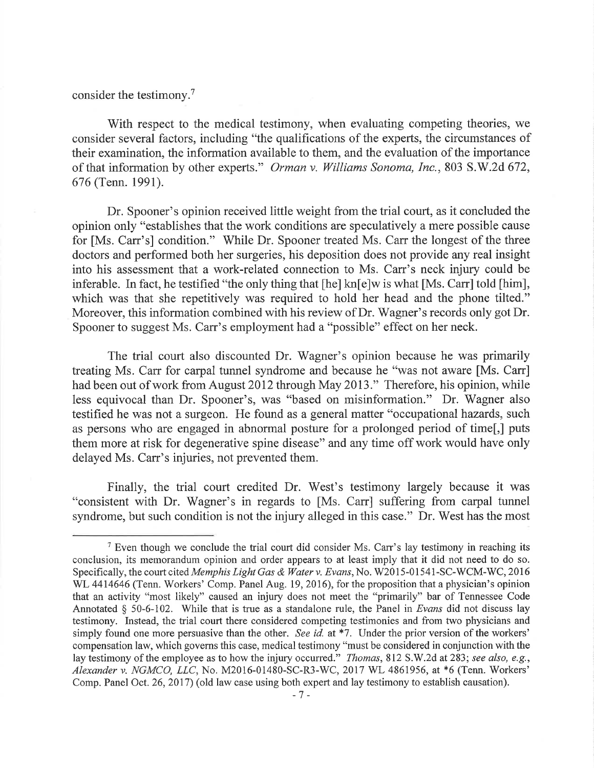consider the testimony.7

With respect to the medical testimony, when evaluating competing theories, we consider several factors, including "the qualifications of the experts, the circumstances of their examination, the information available to them, and the evaluation of the importance of that information by other experts." Orman v. Williams Sonoma, Inc., 803 S.W.2d 672, 676 (Tenn. 1991).

Dr. Spooner's opinion received little weight from the trial court, as it concluded the opinion only "establishes that the work conditions are speculatively a mere possible cause for [Ms. Carr's] condition." While Dr. Spooner treated Ms. Carr the longest of the three doctors and performed both her surgeries, his deposition does not provide any real insight into his assessment that a work-related connection to Ms. Carr's neck injury could be inferable. In fact, he testified "the only thing that [he] kn[e]w is what [Ms. Carr] told [him], which was that she repetitively was required to hold her head and the phone tilted." Moreover, this information combined with his review of Dr. Wagner's records only got Dr. Spooner to suggest Ms. Carr's employment had a "possible" effect on her neck.

The trial court also discounted Dr. Wagner's opinion because he was primarily treating Ms. Carr for carpal tunnel syndrome and because he "was not aware [Ms. Carr] had been out of work from August 2012 through May 2013." Therefore, his opinion, while less equivocal than Dr. Spooner's, was "based on misinformation." Dr. Wagner also testified he was not a surgeon. He found as a general matter "occupational hazards, such as persons who are engaged in abnormal posture for a prolonged period of time[,] puts them more at risk for degenerative spine disease" and any time off work would have only delayed Ms. Carr's injuries, not prevented them.

Finally, the trial court credited Dr. West's testimony largely because it was "consistent with Dr. Wagner's in regards to [Ms. Carr] suffering from carpal tunnel syndrome, but such condition is not the injury alleged in this case." Dr. West has the most

<sup>&</sup>lt;sup>7</sup> Even though we conclude the trial court did consider Ms. Carr's lay testimony in reaching its conclusion, its memorandum opinion and order appears to at least imply that it did not need to do so. Specifically, the court cited Memphis Light Gas & Water v. Evans, No. W2015 -01541-SC-WCM-WC, 2016 WL 4414646 (Tenn. Workers' Comp. Panel Aug. 19, 2016), for the proposition that a physician's opinion that an activity "most likely" caused an injury does not meet the "primarily" bar of Tennessee Code Annotated § 50-6-102. While that is true as a standalone rule, the Panel in Evans did not discuss lay testimony. Instead, the trial court there considered competing testimonies and from two physicians and simply found one more persuasive than the other. See id. at \*7. Under the prior version of the workers' compensation law, which governs this case, medical testimony "must be considered in conjunction with the lay testimony of the employee as to how the injury occurred." *Thomas*, 812 S.W.2d at 283; see also, e.g., Alexander v. NGMCO, LLC, No. M2016-01480-SC-R3-WC, 2017 WL 4861956, at \*6 (Tenn. Workers' Comp. Panel Oct. 26, 2017) (old law case using both expert and lay testimony to establish causation).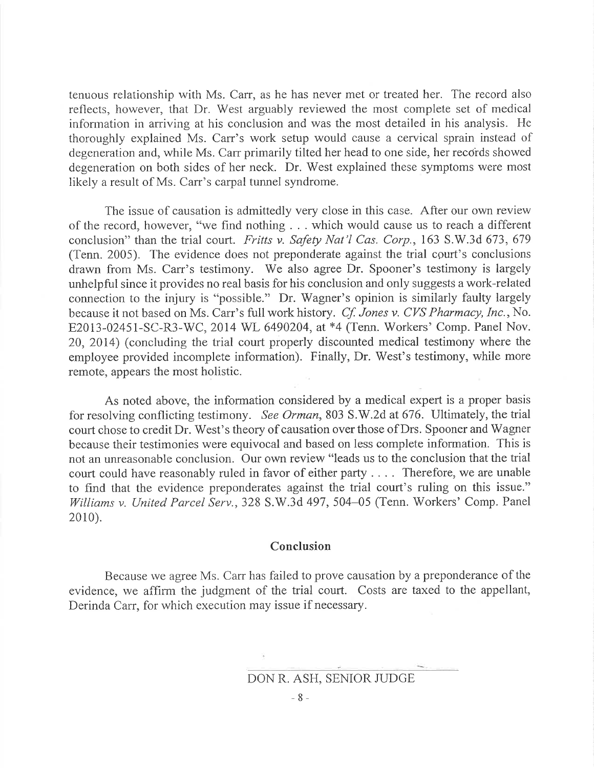tenuous relationship with Ms. Carr, as he has never met or treated her. The record also reflects, however, that Dr. West arguably reviewed the most complete set of medical information in arriving at his conclusion and was the most detailed in his analysis. He thoroughly explained Ms. Carr's work setup would cause a cervical sprain instead of degeneration and, while Ms. Carr primarily tilted her head to one side, her records showed degeneration on both sides of her neck. Dr. West explained these symptoms were most likely a result of Ms. Carr's carpal tunnel syndrome.

The issue of causation is admittedly very close in this case. After our own review of the record, however, "we find nothing . . . which would cause us to reach a different conclusion" than the trial court. Fritts v. Safety Nat'l Cas. Corp., 163 S.W.3d 673, 679 (Tenn. 2005). The evidence does not preponderate against the trial court's conclusions drawn from Ms. Carr's testimony. We also agree Dr. Spooner's testimony is largely unhelpful since it provides no real basis for his conclusion and only suggests a work-related connection to the injury is "possible." Dr. Wagner's opinion is similarly faulty largely because it not based on Ms. Carr's full work history. Cf. Jones v. CVS Pharmacy, Inc., No. E2013-02451-SC-R3-WC, 2014 WL 6490204, at \*4 (Tenn. Workers' Comp. Panel Nov. 20, 2014) (concluding the trial court properly discounted medical testimony where the employee provided incomplete information). Finally, Dr. West's testimony, while more remote, appears the most holistic.

As noted above, the information considered by a medical expert is a proper basis for resolving conflicting testimony. See Orman, 803 S.W.2d at 676. Ultimately, the trial court chose to credit Dr. West's theory of causation over those of Drs. Spooner and Wagner because their testimonies were equivocal and based on less complete information. This is not an unreasonable conclusion. Our own review "leads us to the conclusion that the trial court could have reasonably ruled in favor of either party . . . . Therefore, we are unable to find that the evidence preponderates against the trial court's ruling on this issue." Williams v. United Parcel Serv., 328 S.W.3d 497, 504–05 (Tenn. Workers' Comp. Panel 2010).

#### Conclusion

Because we agree Ms. Carr has failed to prove causation by a preponderance of the evidence, we affirm the judgment of the trial court. Costs are taxed to the appellant, Derinda Carr, for which execution may issue if necessary.

DON R. ASH, SENIOR JUDGE